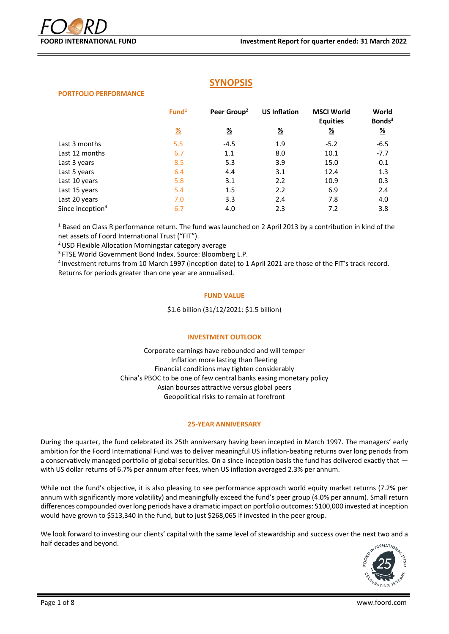# **SYNOPSIS**

#### **PORTFOLIO PERFORMANCE**

|                              | Fund <sup>1</sup> | Peer Group <sup>2</sup> | <b>US Inflation</b> | <b>MSCI World</b><br><b>Equities</b> | World<br>Bonds <sup>3</sup> |
|------------------------------|-------------------|-------------------------|---------------------|--------------------------------------|-----------------------------|
|                              | $\frac{9}{6}$     | <u>%</u>                | <u>%</u>            | <u>%</u>                             | $\frac{9}{6}$               |
| Last 3 months                | 5.5               | $-4.5$                  | 1.9                 | $-5.2$                               | $-6.5$                      |
| Last 12 months               | 6.7               | 1.1                     | 8.0                 | 10.1                                 | $-7.7$                      |
| Last 3 years                 | 8.5               | 5.3                     | 3.9                 | 15.0                                 | $-0.1$                      |
| Last 5 years                 | 6.4               | 4.4                     | 3.1                 | 12.4                                 | 1.3                         |
| Last 10 years                | 5.8               | 3.1                     | 2.2                 | 10.9                                 | 0.3                         |
| Last 15 years                | 5.4               | 1.5                     | 2.2                 | 6.9                                  | 2.4                         |
| Last 20 years                | 7.0               | 3.3                     | 2.4                 | 7.8                                  | 4.0                         |
| Since inception <sup>4</sup> | 6.7               | 4.0                     | 2.3                 | 7.2                                  | 3.8                         |

<sup>1</sup> Based on Class R performance return. The fund was launched on 2 April 2013 by a contribution in kind of the net assets of Foord International Trust ("FIT").

<sup>2</sup>USD Flexible Allocation Morningstar category average

<sup>3</sup> FTSE World Government Bond Index. Source: Bloomberg L.P.

4 Investment returns from 10 March 1997 (inception date) to 1 April 2021 are those of the FIT's track record. Returns for periods greater than one year are annualised.

### **FUND VALUE**

\$1.6 billion (31/12/2021: \$1.5 billion)

### **INVESTMENT OUTLOOK**

Corporate earnings have rebounded and will temper Inflation more lasting than fleeting Financial conditions may tighten considerably China's PBOC to be one of few central banks easing monetary policy Asian bourses attractive versus global peers Geopolitical risks to remain at forefront

### **25-YEAR ANNIVERSARY**

During the quarter, the fund celebrated its 25th anniversary having been incepted in March 1997. The managers' early ambition for the Foord International Fund was to deliver meaningful US inflation-beating returns over long periods from a conservatively managed portfolio of global securities. On a since-inception basis the fund has delivered exactly that with US dollar returns of 6.7% per annum after fees, when US inflation averaged 2.3% per annum.

While not the fund's objective, it is also pleasing to see performance approach world equity market returns (7.2% per annum with significantly more volatility) and meaningfully exceed the fund's peer group (4.0% per annum). Small return differences compounded over long periods have a dramatic impact on portfolio outcomes: \$100,000 invested at inception would have grown to \$513,340 in the fund, but to just \$268,065 if invested in the peer group.

We look forward to investing our clients' capital with the same level of stewardship and success over the next two and a half decades and beyond.

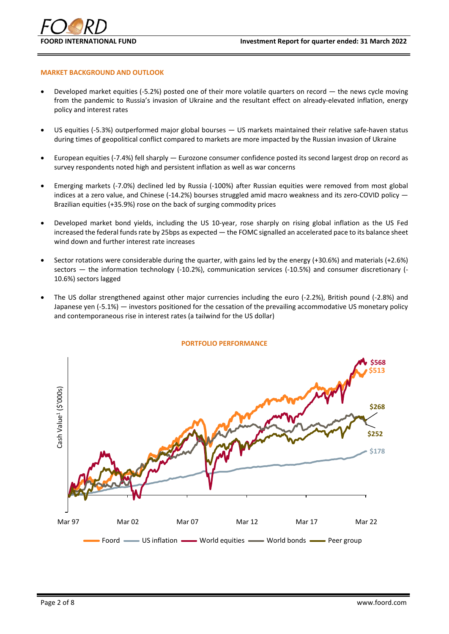

### **MARKET BACKGROUND AND OUTLOOK**

- Developed market equities (-5.2%) posted one of their more volatile quarters on record the news cycle moving from the pandemic to Russia's invasion of Ukraine and the resultant effect on already-elevated inflation, energy policy and interest rates
- US equities (-5.3%) outperformed major global bourses US markets maintained their relative safe-haven status during times of geopolitical conflict compared to markets are more impacted by the Russian invasion of Ukraine
- European equities (-7.4%) fell sharply Eurozone consumer confidence posted its second largest drop on record as survey respondents noted high and persistent inflation as well as war concerns
- Emerging markets (‐7.0%) declined led by Russia (‐100%) after Russian equities were removed from most global indices at a zero value, and Chinese (-14.2%) bourses struggled amid macro weakness and its zero-COVID policy — Brazilian equities (+35.9%) rose on the back of surging commodity prices
- Developed market bond yields, including the US 10‐year, rose sharply on rising global inflation as the US Fed increased the federal funds rate by 25bps as expected — the FOMC signalled an accelerated pace to its balance sheet wind down and further interest rate increases
- Sector rotations were considerable during the quarter, with gains led by the energy (+30.6%) and materials (+2.6%) sectors — the information technology (-10.2%), communication services (-10.5%) and consumer discretionary (- 10.6%) sectors lagged
- The US dollar strengthened against other major currencies including the euro (‐2.2%), British pound (-2.8%) and Japanese yen (‐5.1%) — investors positioned for the cessation of the prevailing accommodative US monetary policy and contemporaneous rise in interest rates (a tailwind for the US dollar)



#### **PORTFOLIO PERFORMANCE**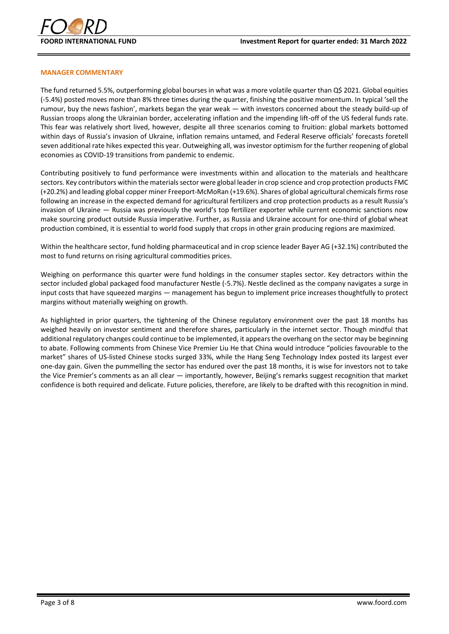

#### **MANAGER COMMENTARY**

The fund returned 5.5%, outperforming global bourses in what was a more volatile quarter than Q\$ 2021. Global equities (-5.4%) posted moves more than 8% three times during the quarter, finishing the positive momentum. In typical 'sell the rumour, buy the news fashion', markets began the year weak — with investors concerned about the steady build-up of Russian troops along the Ukrainian border, accelerating inflation and the impending lift-off of the US federal funds rate. This fear was relatively short lived, however, despite all three scenarios coming to fruition: global markets bottomed within days of Russia's invasion of Ukraine, inflation remains untamed, and Federal Reserve officials' forecasts foretell seven additional rate hikes expected this year. Outweighing all, was investor optimism for the further reopening of global economies as COVID-19 transitions from pandemic to endemic.

Contributing positively to fund performance were investments within and allocation to the materials and healthcare sectors. Key contributors within the materials sector were global leader in crop science and crop protection products FMC (+20.2%) and leading global copper miner Freeport‐McMoRan (+19.6%). Shares of global agricultural chemicals firms rose following an increase in the expected demand for agricultural fertilizers and crop protection products as a result Russia's invasion of Ukraine — Russia was previously the world's top fertilizer exporter while current economic sanctions now make sourcing product outside Russia imperative. Further, as Russia and Ukraine account for one-third of global wheat production combined, it is essential to world food supply that crops in other grain producing regions are maximized.

Within the healthcare sector, fund holding pharmaceutical and in crop science leader Bayer AG (+32.1%) contributed the most to fund returns on rising agricultural commodities prices.

Weighing on performance this quarter were fund holdings in the consumer staples sector. Key detractors within the sector included global packaged food manufacturer Nestle (-5.7%). Nestle declined as the company navigates a surge in input costs that have squeezed margins — management has begun to implement price increases thoughtfully to protect margins without materially weighing on growth.

As highlighted in prior quarters, the tightening of the Chinese regulatory environment over the past 18 months has weighed heavily on investor sentiment and therefore shares, particularly in the internet sector. Though mindful that additional regulatory changes could continue to be implemented, it appears the overhang on the sector may be beginning to abate. Following comments from Chinese Vice Premier Liu He that China would introduce "policies favourable to the market" shares of US-listed Chinese stocks surged 33%, while the Hang Seng Technology Index posted its largest ever one-day gain. Given the pummelling the sector has endured over the past 18 months, it is wise for investors not to take the Vice Premier's comments as an all clear — importantly, however, Beijing's remarks suggest recognition that market confidence is both required and delicate. Future policies, therefore, are likely to be drafted with this recognition in mind.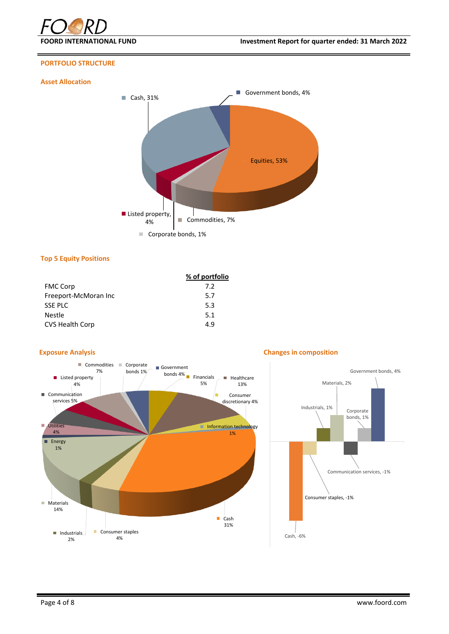

# **PORTFOLIO STRUCTURE**

# **Asset Allocation**



#### **Top 5 Equity Positions**

|                        | % of portfolio |
|------------------------|----------------|
| <b>FMC Corp</b>        | 7.2            |
| Freeport-McMoran Inc   | 5.7            |
| SSE PLC                | 5.3            |
| <b>Nestle</b>          | 5.1            |
| <b>CVS Health Corp</b> | 4.9            |



#### **Exposure Analysis Changes in composition**

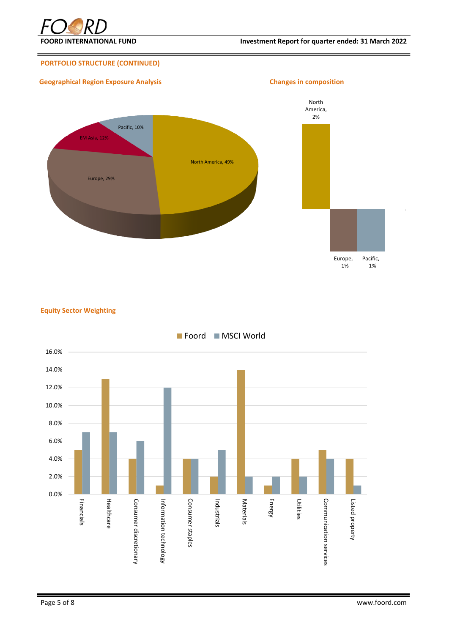

# **PORTFOLIO STRUCTURE (CONTINUED)**

# **Geographical Region Exposure Analysis Changes in composition**



**Equity Sector Weighting**

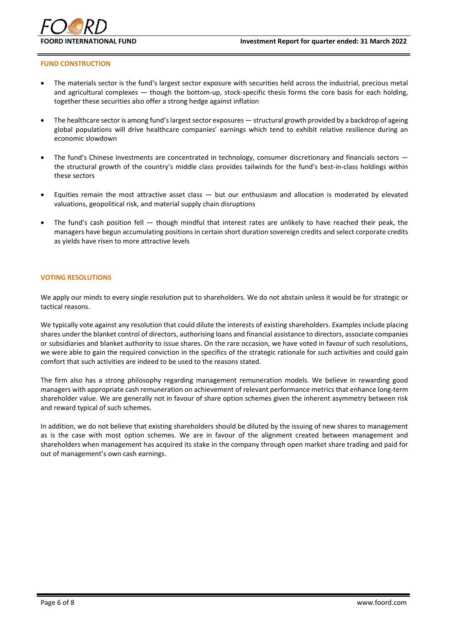

#### **FUND CONSTRUCTION**

- The materials sector is the fund's largest sector exposure with securities held across the industrial, precious metal and agricultural complexes — though the bottom-up, stock-specific thesis forms the core basis for each holding, together these securities also offer a strong hedge against inflation
- The healthcare sector is among fund's largest sector exposures structural growth provided by a backdrop of ageing global populations will drive healthcare companies' earnings which tend to exhibit relative resilience during an economic slowdown
- The fund's Chinese investments are concentrated in technology, consumer discretionary and financials sectors the structural growth of the country's middle class provides tailwinds for the fund's best-in-class holdings within these sectors
- Equities remain the most attractive asset class  $-$  but our enthusiasm and allocation is moderated by elevated valuations, geopolitical risk, and material supply chain disruptions
- The fund's cash position fell  $-$  though mindful that interest rates are unlikely to have reached their peak, the managers have begun accumulating positions in certain short duration sovereign credits and select corporate credits as yields have risen to more attractive levels

#### **VOTING RESOLUTIONS**

We apply our minds to every single resolution put to shareholders. We do not abstain unless it would be for strategic or tactical reasons.

We typically vote against any resolution that could dilute the interests of existing shareholders. Examples include placing shares under the blanket control of directors, authorising loans and financial assistance to directors, associate companies or subsidiaries and blanket authority to issue shares. On the rare occasion, we have voted in favour of such resolutions, we were able to gain the required conviction in the specifics of the strategic rationale for such activities and could gain comfort that such activities are indeed to be used to the reasons stated.

The firm also has a strong philosophy regarding management remuneration models. We believe in rewarding good managers with appropriate cash remuneration on achievement of relevant performance metrics that enhance long-term shareholder value. We are generally not in favour of share option schemes given the inherent asymmetry between risk and reward typical of such schemes.

In addition, we do not believe that existing shareholders should be diluted by the issuing of new shares to management as is the case with most option schemes. We are in favour of the alignment created between management and shareholders when management has acquired its stake in the company through open market share trading and paid for out of management's own cash earnings.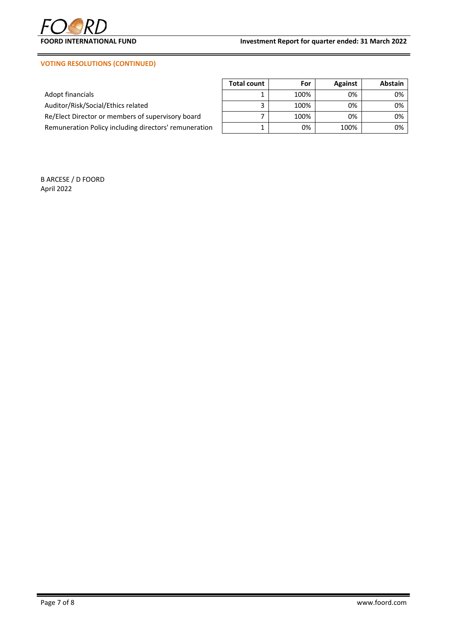

# **VOTING RESOLUTIONS (CONTINUED)**

|                                                       | <b>Total count</b> | For  | <b>Against</b> | Abstain |
|-------------------------------------------------------|--------------------|------|----------------|---------|
| Adopt financials                                      |                    | 100% | 0%             | 0%      |
| Auditor/Risk/Social/Ethics related                    |                    | 100% | 0%             | 0%      |
| Re/Elect Director or members of supervisory board     |                    | 100% | 0%             | 0%      |
| Remuneration Policy including directors' remuneration |                    | 0%   | 100%           | 0%      |

B ARCESE / D FOORD April 2022